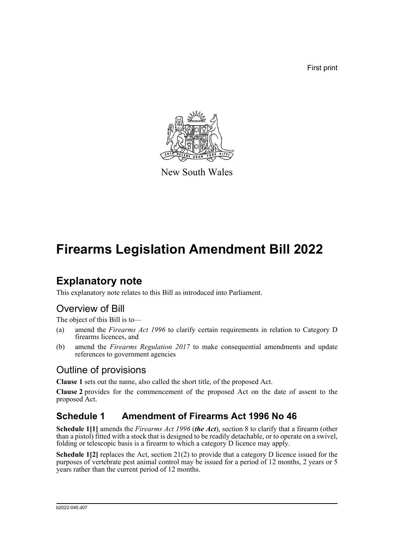First print



New South Wales

# **Firearms Legislation Amendment Bill 2022**

## **Explanatory note**

This explanatory note relates to this Bill as introduced into Parliament.

#### Overview of Bill

The object of this Bill is to—

- (a) amend the *Firearms Act 1996* to clarify certain requirements in relation to Category D firearms licences, and
- (b) amend the *Firearms Regulation 2017* to make consequential amendments and update references to government agencies

#### Outline of provisions

**Clause 1** sets out the name, also called the short title, of the proposed Act.

**Clause 2** provides for the commencement of the proposed Act on the date of assent to the proposed Act.

#### **Schedule 1 Amendment of Firearms Act 1996 No 46**

**Schedule 1[1]** amends the *Firearms Act 1996* (*the Act*), section 8 to clarify that a firearm (other than a pistol) fitted with a stock that is designed to be readily detachable, or to operate on a swivel, folding or telescopic basis is a firearm to which a category D licence may apply.

**Schedule 1[2]** replaces the Act, section 21(2) to provide that a category D licence issued for the purposes of vertebrate pest animal control may be issued for a period of 12 months, 2 years or 5 years rather than the current period of 12 months.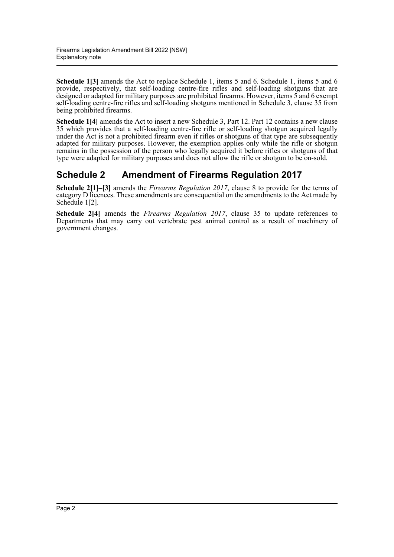**Schedule 1[3]** amends the Act to replace Schedule 1, items 5 and 6. Schedule 1, items 5 and 6 provide, respectively, that self-loading centre-fire rifles and self-loading shotguns that are designed or adapted for military purposes are prohibited firearms. However, items 5 and 6 exempt self-loading centre-fire rifles and self-loading shotguns mentioned in Schedule 3, clause 35 from being prohibited firearms.

**Schedule 1[4]** amends the Act to insert a new Schedule 3, Part 12. Part 12 contains a new clause 35 which provides that a self-loading centre-fire rifle or self-loading shotgun acquired legally under the Act is not a prohibited firearm even if rifles or shotguns of that type are subsequently adapted for military purposes. However, the exemption applies only while the rifle or shotgun remains in the possession of the person who legally acquired it before rifles or shotguns of that type were adapted for military purposes and does not allow the rifle or shotgun to be on-sold.

#### **Schedule 2 Amendment of Firearms Regulation 2017**

**Schedule 2[1]–[3]** amends the *Firearms Regulation 2017*, clause 8 to provide for the terms of category D licences. These amendments are consequential on the amendments to the Act made by Schedule 1[2].

**Schedule 2[4]** amends the *Firearms Regulation 2017*, clause 35 to update references to Departments that may carry out vertebrate pest animal control as a result of machinery of government changes.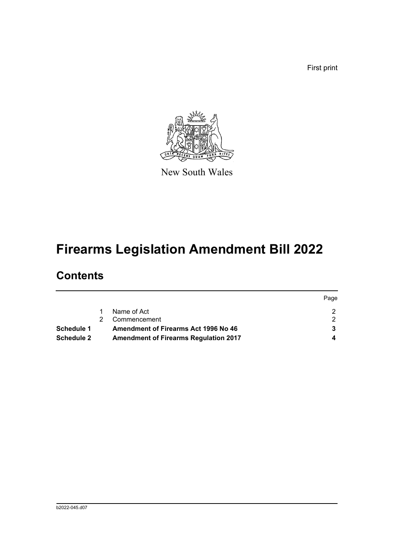First print



New South Wales

# **Firearms Legislation Amendment Bill 2022**

## **Contents**

|                   |                                              | Page |
|-------------------|----------------------------------------------|------|
|                   | Name of Act                                  |      |
|                   | Commencement                                 |      |
| Schedule 1        | <b>Amendment of Firearms Act 1996 No 46</b>  |      |
| <b>Schedule 2</b> | <b>Amendment of Firearms Regulation 2017</b> |      |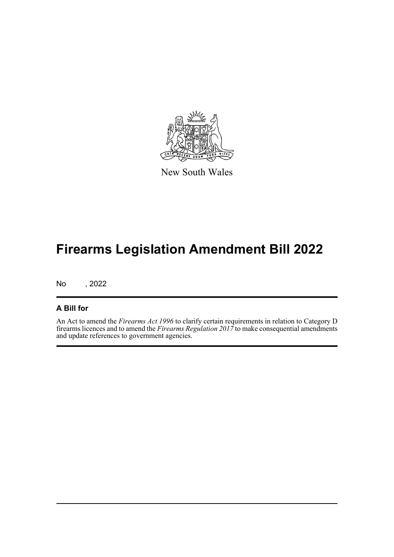

New South Wales

## **Firearms Legislation Amendment Bill 2022**

No , 2022

#### **A Bill for**

An Act to amend the *Firearms Act 1996* to clarify certain requirements in relation to Category D firearms licences and to amend the *Firearms Regulation 2017* to make consequential amendments and update references to government agencies.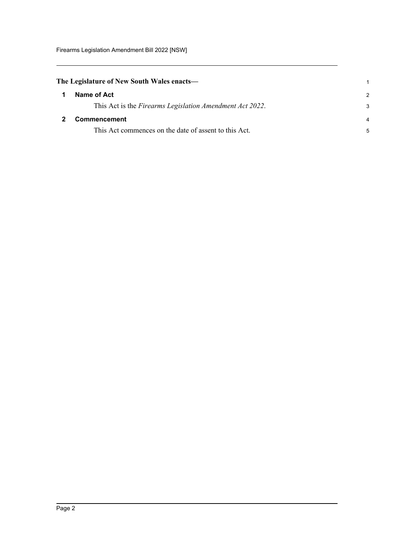<span id="page-4-1"></span><span id="page-4-0"></span>

| The Legislature of New South Wales enacts— |                                                          |               |
|--------------------------------------------|----------------------------------------------------------|---------------|
| 1                                          | Name of Act                                              | $\mathcal{P}$ |
|                                            | This Act is the Firearms Legislation Amendment Act 2022. | 3             |
|                                            | <b>Commencement</b>                                      | 4             |
|                                            | This Act commences on the date of assent to this Act.    | 5             |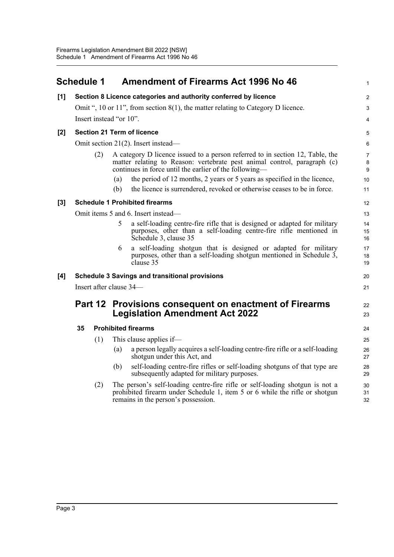<span id="page-5-0"></span>

|     | <b>Schedule 1</b>                   |         | <b>Amendment of Firearms Act 1996 No 46</b>                                                                                                                                                                         | $\mathbf{1}$             |
|-----|-------------------------------------|---------|---------------------------------------------------------------------------------------------------------------------------------------------------------------------------------------------------------------------|--------------------------|
| [1] |                                     |         | Section 8 Licence categories and authority conferred by licence                                                                                                                                                     | 2                        |
|     |                                     |         | Omit ", 10 or 11", from section $8(1)$ , the matter relating to Category D licence.                                                                                                                                 | 3                        |
|     |                                     |         | Insert instead "or 10".                                                                                                                                                                                             | 4                        |
| [2] | <b>Section 21 Term of licence</b>   |         |                                                                                                                                                                                                                     | 5                        |
|     | Omit section 21(2). Insert instead— |         |                                                                                                                                                                                                                     | 6                        |
|     |                                     | (2)     | A category D licence issued to a person referred to in section 12, Table, the<br>matter relating to Reason: vertebrate pest animal control, paragraph (c)<br>continues in force until the earlier of the following— | $\overline{7}$<br>8<br>9 |
|     |                                     |         | the period of 12 months, 2 years or 5 years as specified in the licence,<br>(a)                                                                                                                                     | 10                       |
|     |                                     |         | the licence is surrendered, revoked or otherwise ceases to be in force.<br>(b)                                                                                                                                      | 11                       |
| [3] |                                     |         | <b>Schedule 1 Prohibited firearms</b>                                                                                                                                                                               | 12                       |
|     |                                     |         | Omit items 5 and 6. Insert instead-                                                                                                                                                                                 | 13                       |
|     |                                     |         | 5<br>a self-loading centre-fire rifle that is designed or adapted for military<br>purposes, other than a self-loading centre-fire rifle mentioned in<br>Schedule 3, clause 35                                       | 14<br>15<br>16           |
|     |                                     |         | a self-loading shotgun that is designed or adapted for military<br>6<br>purposes, other than a self-loading shotgun mentioned in Schedule 3,<br>clause 35                                                           | 17<br>18<br>19           |
| [4] |                                     |         | <b>Schedule 3 Savings and transitional provisions</b>                                                                                                                                                               | 20                       |
|     |                                     |         | Insert after clause 34—                                                                                                                                                                                             | 21                       |
|     |                                     | Part 12 | <b>Provisions consequent on enactment of Firearms</b><br><b>Legislation Amendment Act 2022</b>                                                                                                                      | 22<br>23                 |
|     | 35                                  |         | <b>Prohibited firearms</b>                                                                                                                                                                                          | 24                       |
|     |                                     | (1)     | This clause applies if-                                                                                                                                                                                             | 25                       |
|     |                                     |         | a person legally acquires a self-loading centre-fire rifle or a self-loading<br>(a)<br>shotgun under this Act, and                                                                                                  | 26<br>27                 |
|     |                                     |         | self-loading centre-fire rifles or self-loading shotguns of that type are<br>(b)<br>subsequently adapted for military purposes.                                                                                     | 28<br>29                 |
|     |                                     | (2)     | The person's self-loading centre-fire rifle or self-loading shotgun is not a<br>prohibited firearm under Schedule 1, item 5 or 6 while the rifle or shotgun<br>remains in the person's possession.                  | 30<br>31<br>32           |